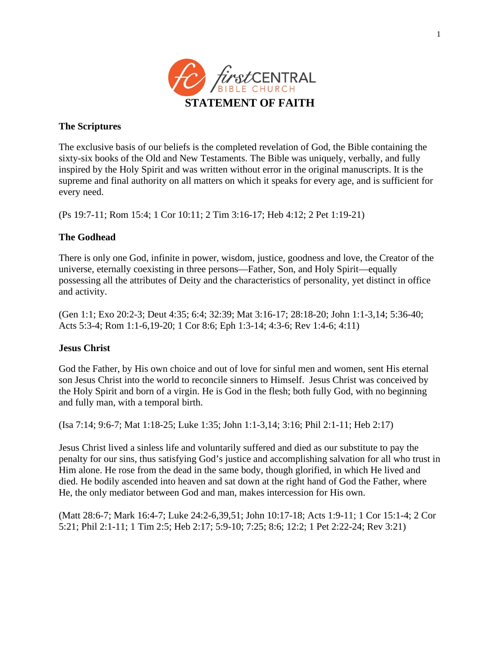

# **The Scriptures**

The exclusive basis of our beliefs is the completed revelation of God, the Bible containing the sixty-six books of the Old and New Testaments. The Bible was uniquely, verbally, and fully inspired by the Holy Spirit and was written without error in the original manuscripts. It is the supreme and final authority on all matters on which it speaks for every age, and is sufficient for every need.

(Ps 19:7-11; Rom 15:4; 1 Cor 10:11; 2 Tim 3:16-17; Heb 4:12; 2 Pet 1:19-21)

# **The Godhead**

There is only one God, infinite in power, wisdom, justice, goodness and love, the Creator of the universe, eternally coexisting in three persons—Father, Son, and Holy Spirit—equally possessing all the attributes of Deity and the characteristics of personality, yet distinct in office and activity.

(Gen 1:1; Exo 20:2-3; Deut 4:35; 6:4; 32:39; Mat 3:16-17; 28:18-20; John 1:1-3,14; 5:36-40; Acts 5:3-4; Rom 1:1-6,19-20; 1 Cor 8:6; Eph 1:3-14; 4:3-6; Rev 1:4-6; 4:11)

# **Jesus Christ**

God the Father, by His own choice and out of love for sinful men and women, sent His eternal son Jesus Christ into the world to reconcile sinners to Himself. Jesus Christ was conceived by the Holy Spirit and born of a virgin. He is God in the flesh; both fully God, with no beginning and fully man, with a temporal birth.

(Isa 7:14; 9:6-7; Mat 1:18-25; Luke 1:35; John 1:1-3,14; 3:16; Phil 2:1-11; Heb 2:17)

Jesus Christ lived a sinless life and voluntarily suffered and died as our substitute to pay the penalty for our sins, thus satisfying God's justice and accomplishing salvation for all who trust in Him alone. He rose from the dead in the same body, though glorified, in which He lived and died. He bodily ascended into heaven and sat down at the right hand of God the Father, where He, the only mediator between God and man, makes intercession for His own.

(Matt 28:6-7; Mark 16:4-7; Luke 24:2-6,39,51; John 10:17-18; Acts 1:9-11; 1 Cor 15:1-4; 2 Cor 5:21; Phil 2:1-11; 1 Tim 2:5; Heb 2:17; 5:9-10; 7:25; 8:6; 12:2; 1 Pet 2:22-24; Rev 3:21)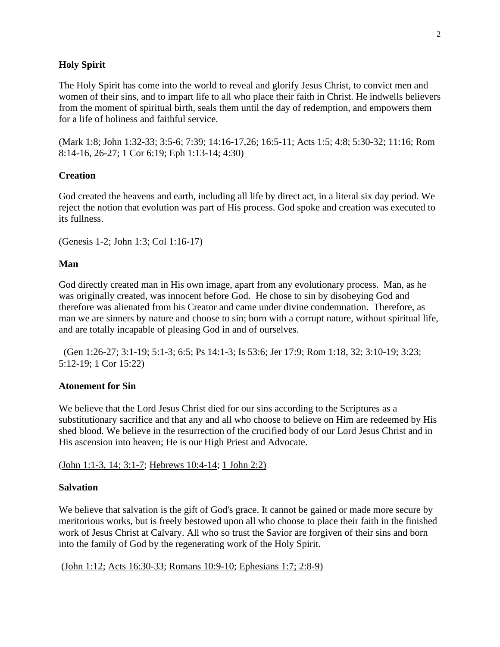# **Holy Spirit**

The Holy Spirit has come into the world to reveal and glorify Jesus Christ, to convict men and women of their sins, and to impart life to all who place their faith in Christ. He indwells believers from the moment of spiritual birth, seals them until the day of redemption, and empowers them for a life of holiness and faithful service.

(Mark 1:8; John 1:32-33; 3:5-6; 7:39; 14:16-17,26; 16:5-11; Acts 1:5; 4:8; 5:30-32; 11:16; Rom 8:14-16, 26-27; 1 Cor 6:19; Eph 1:13-14; 4:30)

## **Creation**

God created the heavens and earth, including all life by direct act, in a literal six day period. We reject the notion that evolution was part of His process. God spoke and creation was executed to its fullness.

(Genesis 1-2; John 1:3; Col 1:16-17)

### **Man**

God directly created man in His own image, apart from any evolutionary process. Man, as he was originally created, was innocent before God. He chose to sin by disobeying God and therefore was alienated from his Creator and came under divine condemnation. Therefore, as man we are sinners by nature and choose to sin; born with a corrupt nature, without spiritual life, and are totally incapable of pleasing God in and of ourselves.

 (Gen 1:26-27; 3:1-19; 5:1-3; 6:5; Ps 14:1-3; Is 53:6; Jer 17:9; Rom 1:18, 32; 3:10-19; 3:23; 5:12-19; 1 Cor 15:22)

#### **Atonement for Sin**

We believe that the Lord Jesus Christ died for our sins according to the Scriptures as a substitutionary sacrifice and that any and all who choose to believe on Him are redeemed by His shed blood. We believe in the resurrection of the crucified body of our Lord Jesus Christ and in His ascension into heaven; He is our High Priest and Advocate.

[\(John 1:1-3, 14; 3:1-7;](http://www.biblegateway.com/passage/?search=john%201:1-3,%2014;%203:1-7&version=49) [Hebrews 10:4-14;](http://bible.gospelcom.net/passage/?search=Hebrews%2010:4-14;&version=49;) [1 John 2:2\)](http://bible.gospelcom.net/passage/?search=1%20John%202:2;&version=49;)

### **Salvation**

We believe that salvation is the gift of God's grace. It cannot be gained or made more secure by meritorious works, but is freely bestowed upon all who choose to place their faith in the finished work of Jesus Christ at Calvary. All who so trust the Savior are forgiven of their sins and born into the family of God by the regenerating work of the Holy Spirit.

[\(John 1:12;](http://bible.gospelcom.net/passage/?search=John%201:12;&version=49;) [Acts 16:30-33;](http://bible.gospelcom.net/passage/?search=Acts%2016:30-33;&version=49;) [Romans 10:9-10;](http://bible.gospelcom.net/passage/?search=Romans%2010:9-10;&version=49;) [Ephesians 1:7; 2:8-9\)](http://bible.gospelcom.net/passage/?search=Ephesians%201:7;%202:8-9;&version=49;)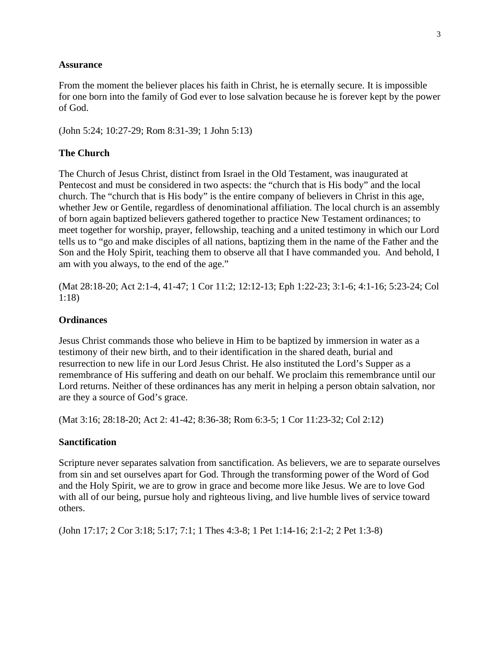## **Assurance**

From the moment the believer places his faith in Christ, he is eternally secure. It is impossible for one born into the family of God ever to lose salvation because he is forever kept by the power of God.

(John 5:24; 10:27-29; Rom 8:31-39; 1 John 5:13)

# **The Church**

The Church of Jesus Christ, distinct from Israel in the Old Testament, was inaugurated at Pentecost and must be considered in two aspects: the "church that is His body" and the local church. The "church that is His body" is the entire company of believers in Christ in this age, whether Jew or Gentile, regardless of denominational affiliation. The local church is an assembly of born again baptized believers gathered together to practice New Testament ordinances; to meet together for worship, prayer, fellowship, teaching and a united testimony in which our Lord tells us to "go and make disciples of all nations, baptizing them in the name of the Father and the Son and the Holy Spirit, teaching them to observe all that I have commanded you. And behold, I am with you always, to the end of the age."

(Mat 28:18-20; Act 2:1-4, 41-47; 1 Cor 11:2; 12:12-13; Eph 1:22-23; 3:1-6; 4:1-16; 5:23-24; Col 1:18)

## **Ordinances**

Jesus Christ commands those who believe in Him to be baptized by immersion in water as a testimony of their new birth, and to their identification in the shared death, burial and resurrection to new life in our Lord Jesus Christ. He also instituted the Lord's Supper as a remembrance of His suffering and death on our behalf. We proclaim this remembrance until our Lord returns. Neither of these ordinances has any merit in helping a person obtain salvation, nor are they a source of God's grace.

(Mat 3:16; 28:18-20; Act 2: 41-42; 8:36-38; Rom 6:3-5; 1 Cor 11:23-32; Col 2:12)

# **Sanctification**

Scripture never separates salvation from sanctification. As believers, we are to separate ourselves from sin and set ourselves apart for God. Through the transforming power of the Word of God and the Holy Spirit, we are to grow in grace and become more like Jesus. We are to love God with all of our being, pursue holy and righteous living, and live humble lives of service toward others.

(John 17:17; 2 Cor 3:18; 5:17; 7:1; 1 Thes 4:3-8; 1 Pet 1:14-16; 2:1-2; 2 Pet 1:3-8)